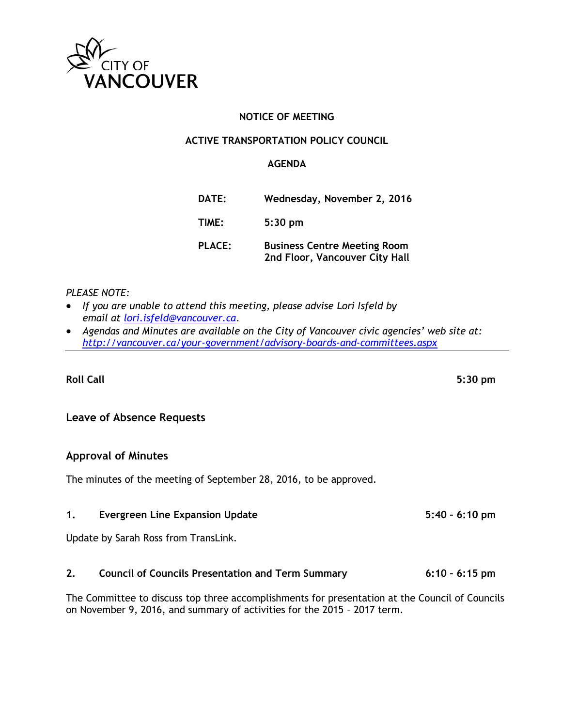

## **NOTICE OF MEETING**

## **ACTIVE TRANSPORTATION POLICY COUNCIL**

#### **AGENDA**

| <b>DATE:</b>  | Wednesday, November 2, 2016                                           |
|---------------|-----------------------------------------------------------------------|
| TIME:         | $5:30$ pm                                                             |
| <b>PLACE:</b> | <b>Business Centre Meeting Room</b><br>2nd Floor, Vancouver City Hall |

#### *PLEASE NOTE:*

- *If you are unable to attend this meeting, please advise Lori Isfeld by email at [lori.isfeld@vancouver.ca.](mailto:lori.isfeld@vancouver.ca)*
- *Agendas and Minutes are available on the City of Vancouver civic agencies' web site at: <http://vancouver.ca/your-government/advisory-boards-and-committees.aspx>*

**Roll Call 5:30 pm**

## **Leave of Absence Requests**

## **Approval of Minutes**

The minutes of the meeting of September 28, 2016, to be approved.

#### **1. Evergreen Line Expansion Update 5:40 – 6:10 pm**

Update by Sarah Ross from TransLink.

## **2. Council of Councils Presentation and Term Summary 6:10 – 6:15 pm**

The Committee to discuss top three accomplishments for presentation at the Council of Councils on November 9, 2016, and summary of activities for the 2015 – 2017 term.